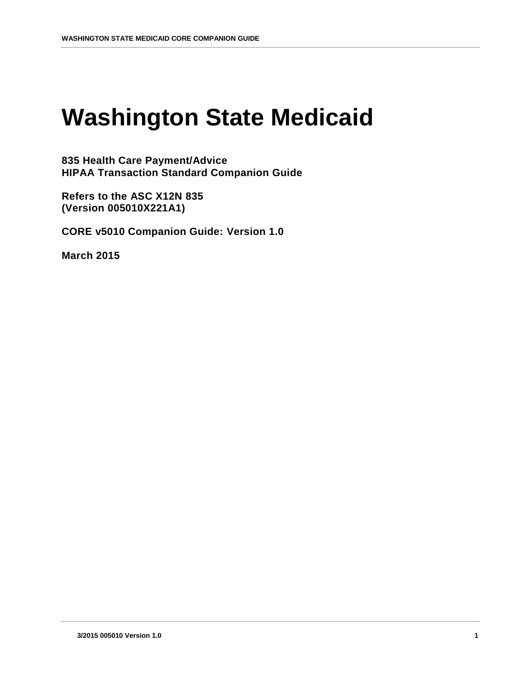# **Washington State Medicaid**

**835 Health Care Payment/Advice HIPAA Transaction Standard Companion Guide**

**Refers to the ASC X12N 835 (Version 005010X221A1)**

**CORE v5010 Companion Guide: Version 1.0**

**March 2015**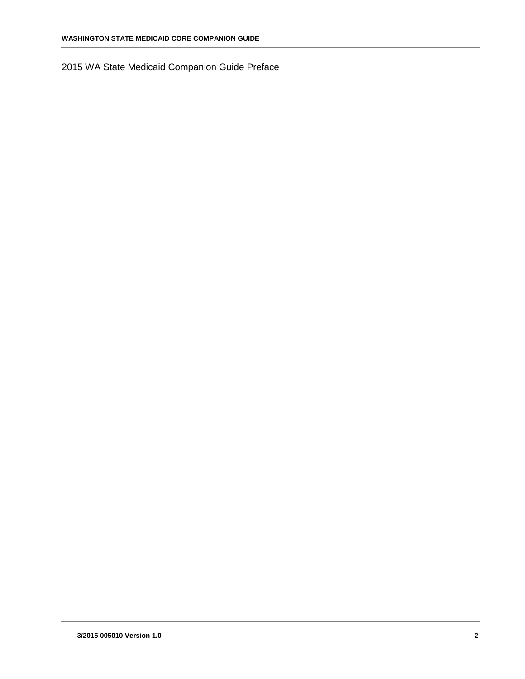2015 WA State Medicaid Companion Guide Preface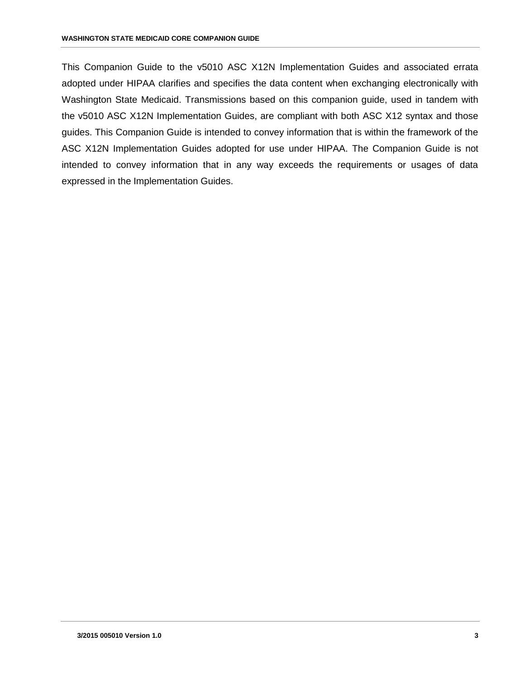This Companion Guide to the v5010 ASC X12N Implementation Guides and associated errata adopted under HIPAA clarifies and specifies the data content when exchanging electronically with Washington State Medicaid. Transmissions based on this companion guide, used in tandem with the v5010 ASC X12N Implementation Guides, are compliant with both ASC X12 syntax and those guides. This Companion Guide is intended to convey information that is within the framework of the ASC X12N Implementation Guides adopted for use under HIPAA. The Companion Guide is not intended to convey information that in any way exceeds the requirements or usages of data expressed in the Implementation Guides.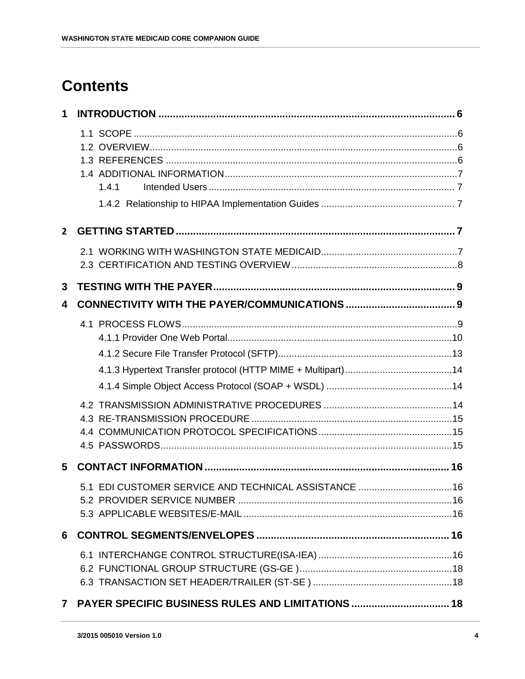# **Contents**

|                | 1.4.1                                               |     |
|----------------|-----------------------------------------------------|-----|
| $\overline{2}$ |                                                     |     |
|                |                                                     |     |
| $\mathbf{3}$   |                                                     |     |
| 4              |                                                     |     |
|                |                                                     |     |
|                |                                                     |     |
|                |                                                     |     |
|                |                                                     |     |
|                |                                                     |     |
|                |                                                     |     |
| 5              |                                                     |     |
|                | 5.1 EDI CUSTOMER SERVICE AND TECHNICAL ASSISTANCE   | .16 |
|                |                                                     |     |
|                |                                                     |     |
|                |                                                     |     |
|                |                                                     |     |
|                |                                                     |     |
|                | 7 PAYER SPECIFIC BUSINESS RULES AND LIMITATIONS  18 |     |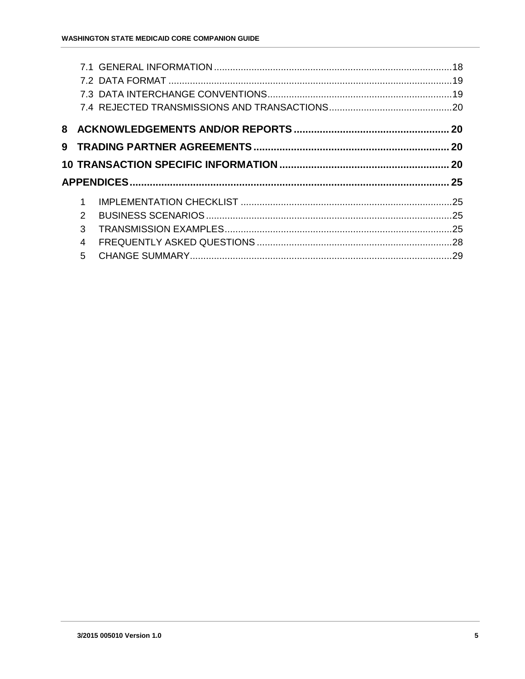| 1              |  |
|----------------|--|
| $\overline{2}$ |  |
| 3              |  |
| $\overline{4}$ |  |
|                |  |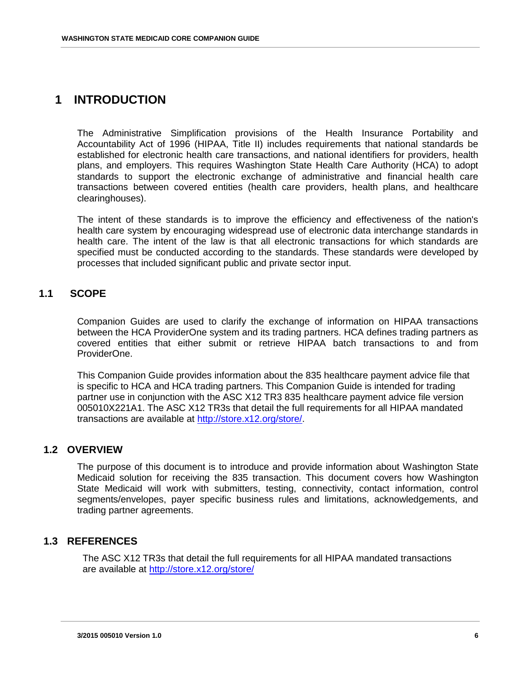# <span id="page-5-0"></span>**1 INTRODUCTION**

The Administrative Simplification provisions of the Health Insurance Portability and Accountability Act of 1996 (HIPAA, Title II) includes requirements that national standards be established for electronic health care transactions, and national identifiers for providers, health plans, and employers. This requires Washington State Health Care Authority (HCA) to adopt standards to support the electronic exchange of administrative and financial health care transactions between covered entities (health care providers, health plans, and healthcare clearinghouses).

The intent of these standards is to improve the efficiency and effectiveness of the nation's health care system by encouraging widespread use of electronic data interchange standards in health care. The intent of the law is that all electronic transactions for which standards are specified must be conducted according to the standards. These standards were developed by processes that included significant public and private sector input.

## <span id="page-5-1"></span>**1.1 SCOPE**

Companion Guides are used to clarify the exchange of information on HIPAA transactions between the HCA ProviderOne system and its trading partners. HCA defines trading partners as covered entities that either submit or retrieve HIPAA batch transactions to and from ProviderOne.

This Companion Guide provides information about the 835 healthcare payment advice file that is specific to HCA and HCA trading partners. This Companion Guide is intended for trading partner use in conjunction with the ASC X12 TR3 835 healthcare payment advice file version 005010X221A1. The ASC X12 TR3s that detail the full requirements for all HIPAA mandated transactions are available at [http://store.x12.org/store/.](http://store.x12.org/store/)

### <span id="page-5-2"></span>**1.2 OVERVIEW**

The purpose of this document is to introduce and provide information about Washington State Medicaid solution for receiving the 835 transaction. This document covers how Washington State Medicaid will work with submitters, testing, connectivity, contact information, control segments/envelopes, payer specific business rules and limitations, acknowledgements, and trading partner agreements.

### <span id="page-5-3"></span>**1.3 REFERENCES**

The ASC X12 TR3s that detail the full requirements for all HIPAA mandated transactions are available at<http://store.x12.org/store/>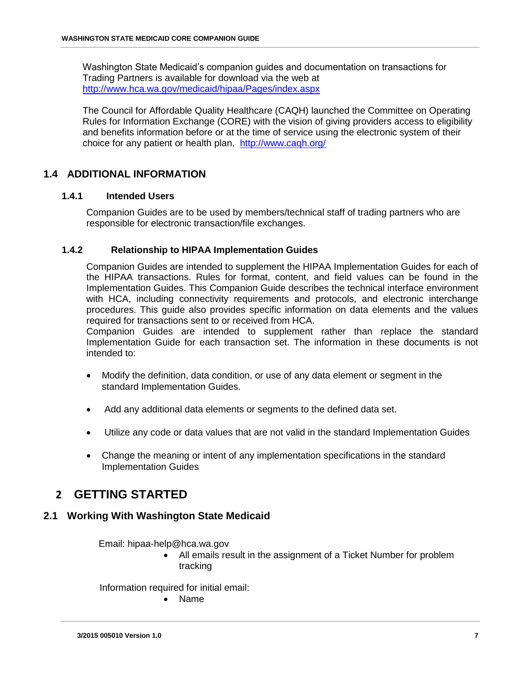Washington State Medicaid's companion guides and documentation on transactions for Trading Partners is available for download via the web at <http://www.hca.wa.gov/medicaid/hipaa/Pages/index.aspx>

The Council for Affordable Quality Healthcare (CAQH) launched the Committee on Operating Rules for Information Exchange (CORE) with the vision of giving providers access to eligibility and benefits information before or at the time of service using the electronic system of their choice for any patient or health plan. <http://www.caqh.org/>

### <span id="page-6-0"></span>**1.4 ADDITIONAL INFORMATION**

### <span id="page-6-1"></span>**1.4.1 Intended Users**

Companion Guides are to be used by members/technical staff of trading partners who are responsible for electronic transaction/file exchanges.

### <span id="page-6-2"></span>**1.4.2 Relationship to HIPAA Implementation Guides**

Companion Guides are intended to supplement the HIPAA Implementation Guides for each of the HIPAA transactions. Rules for format, content, and field values can be found in the Implementation Guides. This Companion Guide describes the technical interface environment with HCA, including connectivity requirements and protocols, and electronic interchange procedures. This guide also provides specific information on data elements and the values required for transactions sent to or received from HCA.

Companion Guides are intended to supplement rather than replace the standard Implementation Guide for each transaction set. The information in these documents is not intended to:

- Modify the definition, data condition, or use of any data element or segment in the standard Implementation Guides.
- Add any additional data elements or segments to the defined data set.
- Utilize any code or data values that are not valid in the standard Implementation Guides
- Change the meaning or intent of any implementation specifications in the standard Implementation Guides

# <span id="page-6-4"></span><span id="page-6-3"></span>**2 GETTING STARTED**

### **2.1 Working With Washington State Medicaid**

Email: hipaa-help@hca.wa.gov

 All emails result in the assignment of a Ticket Number for problem tracking

Information required for initial email:

Name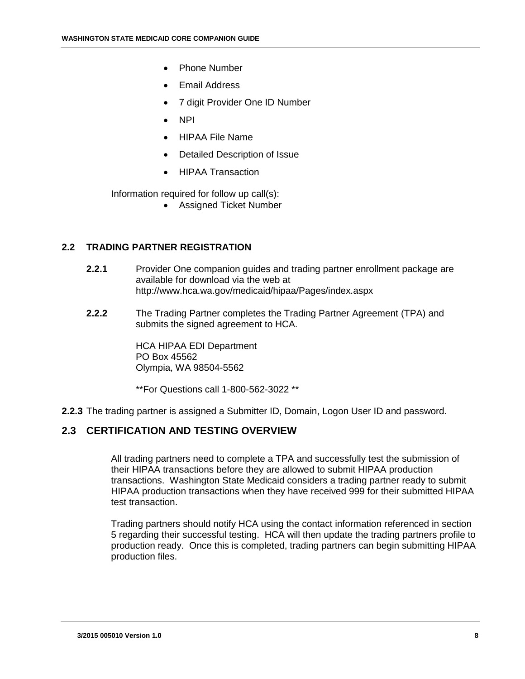- Phone Number
- Email Address
- 7 digit Provider One ID Number
- NPI
- HIPAA File Name
- Detailed Description of Issue
- HIPAA Transaction

Information required for follow up call(s):

Assigned Ticket Number

### **2.2 TRADING PARTNER REGISTRATION**

- **2.2.1** Provider One companion guides and trading partner enrollment package are available for download via the web at http://www.hca.wa.gov/medicaid/hipaa/Pages/index.aspx
- **2.2.2** The Trading Partner completes the Trading Partner Agreement (TPA) and submits the signed agreement to HCA.

HCA HIPAA EDI Department PO Box 45562 Olympia, WA 98504-5562

\*\*For Questions call 1-800-562-3022 \*\*

**2.2.3** The trading partner is assigned a Submitter ID, Domain, Logon User ID and password.

### <span id="page-7-0"></span>**2.3 CERTIFICATION AND TESTING OVERVIEW**

All trading partners need to complete a TPA and successfully test the submission of their HIPAA transactions before they are allowed to submit HIPAA production transactions. Washington State Medicaid considers a trading partner ready to submit HIPAA production transactions when they have received 999 for their submitted HIPAA test transaction.

Trading partners should notify HCA using the contact information referenced in section 5 regarding their successful testing. HCA will then update the trading partners profile to production ready. Once this is completed, trading partners can begin submitting HIPAA production files.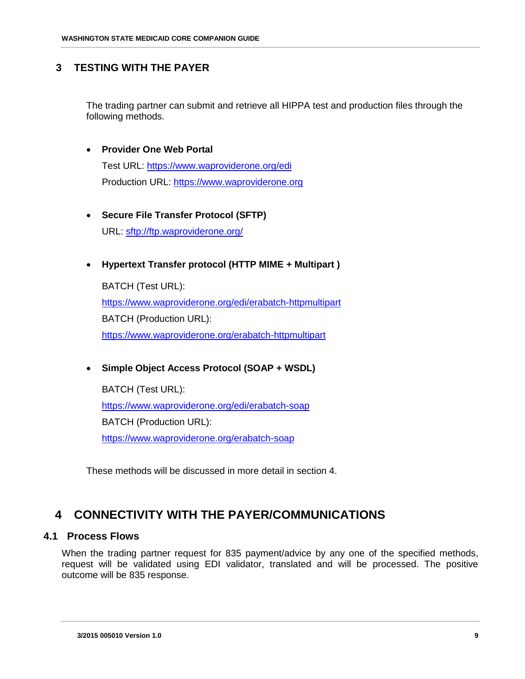### <span id="page-8-0"></span>**3 TESTING WITH THE PAYER**

The trading partner can submit and retrieve all HIPPA test and production files through the following methods.

### **Provider One Web Portal**

Test URL:<https://www.waproviderone.org/edi> Production URL: [https://www.waproviderone.org](https://www.waproviderone.org/)

# **Secure File Transfer Protocol (SFTP)**

URL: sftp://ftp.waproviderone.org/

### **Hypertext Transfer protocol (HTTP MIME + Multipart )**

BATCH (Test URL): <https://www.waproviderone.org/edi/erabatch-httpmultipart> BATCH (Production URL): <https://www.waproviderone.org/erabatch-httpmultipart>

### **Simple Object Access Protocol (SOAP + WSDL)**

BATCH (Test URL): <https://www.waproviderone.org/edi/erabatch-soap> BATCH (Production URL): <https://www.waproviderone.org/erabatch-soap>

These methods will be discussed in more detail in section 4.

# <span id="page-8-2"></span><span id="page-8-1"></span>**4 CONNECTIVITY WITH THE PAYER/COMMUNICATIONS**

### **4.1 Process Flows**

When the trading partner request for 835 payment/advice by any one of the specified methods, request will be validated using EDI validator, translated and will be processed. The positive outcome will be 835 response.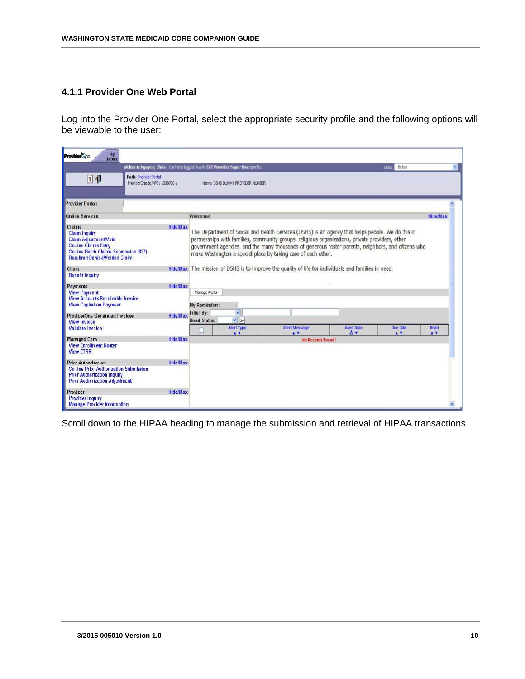### <span id="page-9-0"></span>**4.1.1 Provider One Web Portal**

Log into the Provider One Portal, select the appropriate security profile and the following options will be viewable to the user:

| <b>My</b><br>Inbox<br><b>Provider</b> She                                                                                                                                     |                 |                                   |                                                                                 |                                                                                                                                                                                                                                                                                                                                                                              |                  |                        |                      |
|-------------------------------------------------------------------------------------------------------------------------------------------------------------------------------|-----------------|-----------------------------------|---------------------------------------------------------------------------------|------------------------------------------------------------------------------------------------------------------------------------------------------------------------------------------------------------------------------------------------------------------------------------------------------------------------------------------------------------------------------|------------------|------------------------|----------------------|
|                                                                                                                                                                               |                 |                                   | Welcome Nguyen, Chris. You have looped-in with EXT Provider Super User profile. |                                                                                                                                                                                                                                                                                                                                                                              |                  | <b>United -Select-</b> | $\mathbf{v}$         |
| Path: Provider Portal<br>? 相<br>ProviderOne Id/NPI: 1059700 /                                                                                                                 |                 |                                   | Name: DSHS DUMMY PROVIDER NUMBER                                                |                                                                                                                                                                                                                                                                                                                                                                              |                  |                        |                      |
| <b>Provider Portal:</b>                                                                                                                                                       |                 |                                   |                                                                                 |                                                                                                                                                                                                                                                                                                                                                                              |                  |                        |                      |
| <b>Online Services:</b>                                                                                                                                                       |                 | <b>Welcome!</b>                   |                                                                                 |                                                                                                                                                                                                                                                                                                                                                                              |                  |                        | <b>Hide/Max</b>      |
| Claims<br><b>Claim Inquiry</b><br><b>Claim Adjustment/Void</b><br><b>On-line Claims Entry</b><br>On line Batch Claims Submission (837)<br><b>Resubmit Denied/Volded Claim</b> | <b>Hide/Max</b> |                                   |                                                                                 | The Department of Social and Health Services (DSHS) is an agency that helps people. We do this in<br>partnerships with families, community groups, religious organizations, private providers, other<br>government agencies, and the many thousands of generous foster parents, neighbors, and citizens who<br>make Washington a special place by taking care of each other. |                  |                        |                      |
| <b>Client</b><br><b>Benefit Inquiry</b>                                                                                                                                       |                 |                                   |                                                                                 | Hide/Max. The mission of DSHS is to improve the quality of life for individuals and families in need.                                                                                                                                                                                                                                                                        |                  |                        |                      |
| <b>Payments</b><br><b>View Payment</b><br><b>View Accounts Receivable Invoice</b><br><b>View Capitation Payment</b>                                                           | Hide/Max        | Monage Alerts<br>My Reminders:    |                                                                                 |                                                                                                                                                                                                                                                                                                                                                                              |                  |                        |                      |
| <b>ProviderOne Generated Invoices</b><br><b>View Invoice</b>                                                                                                                  | Hide/Max        | Filter By:<br><b>Read Status:</b> | $\mathbf v$<br>$  \vee  $ Go                                                    |                                                                                                                                                                                                                                                                                                                                                                              |                  |                        |                      |
| Validate Invoice                                                                                                                                                              |                 | п                                 | Alert Type<br>$\bullet$ T                                                       | Alert Message<br>$\mathbf{A}$                                                                                                                                                                                                                                                                                                                                                | Alert Date<br>ΔY | Due Date<br>AT.        | Read<br>$\mathbf{A}$ |
| <b>Managed Care</b><br><b>View Enrollment Roster</b><br><b>View ETRR</b>                                                                                                      | Hide/Max        |                                   |                                                                                 | No Records Found!                                                                                                                                                                                                                                                                                                                                                            |                  |                        |                      |
| <b>Prior Authorization</b><br><b>On line Prior Authorization Submission</b><br><b>Prior Authorization Inquiry</b><br><b>Prior Authorization Adjustment</b>                    | Hide/Max        |                                   |                                                                                 |                                                                                                                                                                                                                                                                                                                                                                              |                  |                        |                      |
| Provider<br><b>Provider Inquiry</b><br><b>Manage Provider Information</b>                                                                                                     | Hide/Max        |                                   |                                                                                 |                                                                                                                                                                                                                                                                                                                                                                              |                  |                        |                      |

Scroll down to the HIPAA heading to manage the submission and retrieval of HIPAA transactions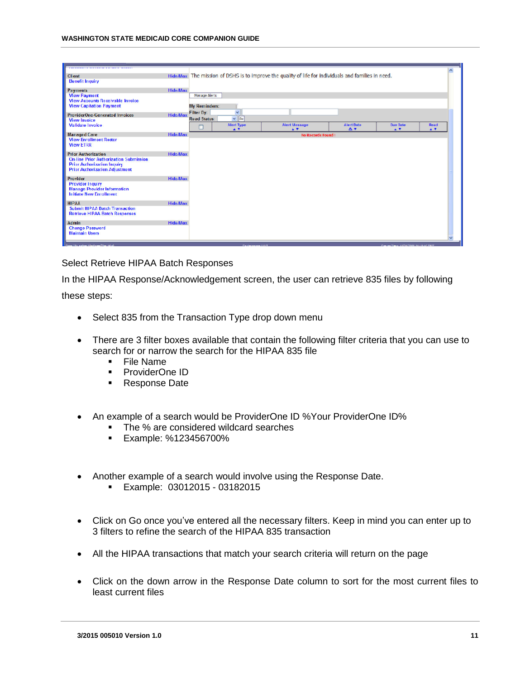|                                                                                |                 |                                                                                                      |                                      |                                     |                                      | $\sim$                   |
|--------------------------------------------------------------------------------|-----------------|------------------------------------------------------------------------------------------------------|--------------------------------------|-------------------------------------|--------------------------------------|--------------------------|
| <b>Client</b>                                                                  |                 | Hide/Max The mission of DSHS is to improve the quality of life for individuals and families in need. |                                      |                                     |                                      |                          |
| <b>Benefit Inquiry</b>                                                         |                 |                                                                                                      |                                      |                                     |                                      |                          |
| <b>Payments</b>                                                                | <b>Hide/Max</b> |                                                                                                      |                                      |                                     |                                      |                          |
| <b>View Payment</b><br><b>View Accounts Receivable Invoice</b>                 |                 | <b>Manage Alerts</b>                                                                                 |                                      |                                     |                                      |                          |
| <b>View Capitation Payment</b>                                                 |                 | <b>My Reminders:</b>                                                                                 |                                      |                                     |                                      |                          |
| <b>ProviderOne-Generated Invoices</b>                                          | <b>Hide/Max</b> | Filter By:<br>$\checkmark$                                                                           |                                      |                                     |                                      |                          |
| <b>View Invoice</b>                                                            |                 | $\vee$ Go<br><b>Read Status:</b>                                                                     |                                      |                                     |                                      |                          |
| <b>Validate Invoice</b>                                                        |                 | <b>Alert Type</b><br>п<br>$\blacktriangle$ V                                                         | <b>Alert Message</b><br>$\mathbf{A}$ | <b>Alert Date</b><br>A <sup>T</sup> | <b>Due Date</b><br>AT.               | $R$ ead<br>$\bullet$     |
| <b>Managed Care</b>                                                            | <b>Hide/Max</b> |                                                                                                      | <b>No Records Found!</b>             |                                     |                                      |                          |
| <b>View Enrollment Roster</b><br><b>View ETRR</b>                              |                 |                                                                                                      |                                      |                                     |                                      |                          |
| <b>Prior Authorization</b>                                                     | <b>Hide/Max</b> |                                                                                                      |                                      |                                     |                                      |                          |
| <b>On-line Prior Authorization Submission</b>                                  |                 |                                                                                                      |                                      |                                     |                                      |                          |
| <b>Prior Authorization Inquiry</b><br><b>Prior Authorization Adjustment</b>    |                 |                                                                                                      |                                      |                                     |                                      |                          |
|                                                                                |                 |                                                                                                      |                                      |                                     |                                      |                          |
| Provider<br><b>Provider Inquiry</b>                                            | <b>Hide/Max</b> |                                                                                                      |                                      |                                     |                                      |                          |
| <b>Manage Provider Information</b>                                             |                 |                                                                                                      |                                      |                                     |                                      |                          |
| <b>Initiate New Enrollment</b>                                                 |                 |                                                                                                      |                                      |                                     |                                      |                          |
| <b>НІРАА</b>                                                                   | Hide/Max        |                                                                                                      |                                      |                                     |                                      |                          |
| <b>Submit HIPAA Batch Transaction</b><br><b>Retrieve HIPAA Batch Responses</b> |                 |                                                                                                      |                                      |                                     |                                      |                          |
|                                                                                |                 |                                                                                                      |                                      |                                     |                                      |                          |
| <b>Admin</b><br><b>Change Password</b>                                         | Hide/Max        |                                                                                                      |                                      |                                     |                                      |                          |
| <b>Maintain Users</b>                                                          |                 |                                                                                                      |                                      |                                     |                                      |                          |
|                                                                                |                 |                                                                                                      |                                      |                                     |                                      | $\overline{\phantom{a}}$ |
| <b>Committee we from different constitution</b> different                      |                 | <b>Conference UST</b>                                                                                |                                      |                                     | Course There in DO DOM ALLIANCE DOT: |                          |

#### Select Retrieve HIPAA Batch Responses

In the HIPAA Response/Acknowledgement screen, the user can retrieve 835 files by following

these steps:

- Select 835 from the Transaction Type drop down menu
- There are 3 filter boxes available that contain the following filter criteria that you can use to search for or narrow the search for the HIPAA 835 file
	- **File Name**
	- **ProviderOne ID**
	- **Response Date**
- An example of a search would be ProviderOne ID %Your ProviderOne ID%
	- The % are considered wildcard searches
	- **Example: %123456700%**
- Another example of a search would involve using the Response Date.
	- **Example: 03012015 03182015**
- Click on Go once you've entered all the necessary filters. Keep in mind you can enter up to 3 filters to refine the search of the HIPAA 835 transaction
- All the HIPAA transactions that match your search criteria will return on the page
- Click on the down arrow in the Response Date column to sort for the most current files to least current files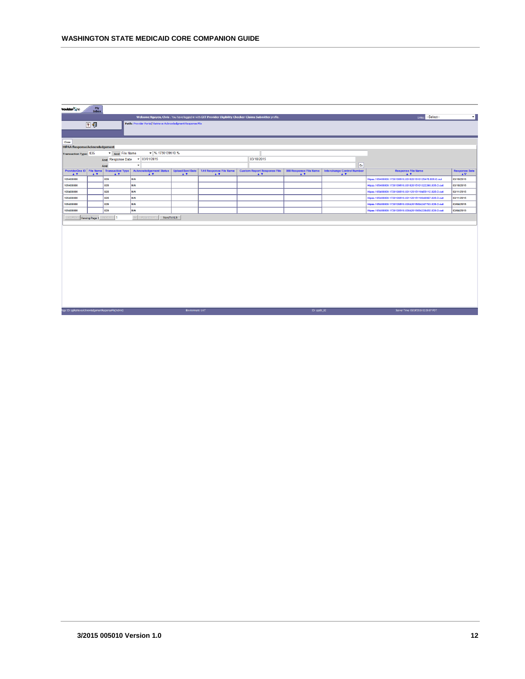| rovider One                                          | $$\tt My$$ Inbox                                                  |                                                      |                                      |                                                                  |                                                                                                          |  |                                                      |                                                                 |                                                         |                                                        |                                                              |
|------------------------------------------------------|-------------------------------------------------------------------|------------------------------------------------------|--------------------------------------|------------------------------------------------------------------|----------------------------------------------------------------------------------------------------------|--|------------------------------------------------------|-----------------------------------------------------------------|---------------------------------------------------------|--------------------------------------------------------|--------------------------------------------------------------|
|                                                      |                                                                   |                                                      |                                      |                                                                  | Welcome Nguyen, Chris. You have logged in with EXT Provider Eligibility Checker-Claims Submitter profie. |  |                                                      |                                                                 |                                                         | Links: -Select--                                       | ۰ı                                                           |
|                                                      | Path: Provider Portal/ Retrieve Admowledgment Response File<br>24 |                                                      |                                      |                                                                  |                                                                                                          |  |                                                      |                                                                 |                                                         |                                                        |                                                              |
| Close                                                |                                                                   |                                                      |                                      |                                                                  |                                                                                                          |  |                                                      |                                                                 |                                                         |                                                        |                                                              |
| <b>HIPAA Response/Acknowledgement:</b>               |                                                                   |                                                      |                                      |                                                                  |                                                                                                          |  |                                                      |                                                                 |                                                         |                                                        |                                                              |
| Transaction Type: 835                                |                                                                   | And File Name                                        | $-$ %.1730139510.%                   |                                                                  |                                                                                                          |  |                                                      |                                                                 |                                                         |                                                        |                                                              |
|                                                      |                                                                   |                                                      | And Response Date v 03/01/2015       |                                                                  |                                                                                                          |  | 03/18/2015                                           |                                                                 |                                                         |                                                        |                                                              |
|                                                      |                                                                   | And                                                  | $\overline{\phantom{a}}$             |                                                                  |                                                                                                          |  |                                                      |                                                                 | $ _{Go} $                                               |                                                        |                                                              |
| AT                                                   | $\triangle$ V                                                     | ProviderOne ID   File Name   Transaction Type<br>A V | <b>Acknowledgement Status</b><br>A V | <b>Upload/Sent Date</b><br>$\blacktriangle$ $\blacktriangledown$ | <b>TA1 Response File Name</b><br>$\blacktriangle$ $\blacktriangledown$                                   |  | <b>Custom Report Response File</b><br>$\mathbf{A}$ V | 999 Response File Name<br>$\blacktriangle$ $\blacktriangledown$ | <b>Interchange Control Number</b><br>$\blacktriangle$ V | <b>Response File Name</b><br>$\blacktriangle$ V        | <b>Response Date</b><br>$\blacktriangle \boldsymbol{\nabla}$ |
| 105408800                                            |                                                                   | 835                                                  | <b>N/A</b>                           |                                                                  |                                                                                                          |  |                                                      |                                                                 |                                                         | Hipaa.105408800.1730139510.0318201510125478.835.O.out  | 03/18/2015                                                   |
| 105408800                                            |                                                                   | 835                                                  | <b>N/A</b>                           |                                                                  |                                                                                                          |  |                                                      |                                                                 |                                                         | Hipaa.105408800.1730139510.03182015101322260.835.O.out | 03/18/2015                                                   |
| 105408800                                            |                                                                   | 835                                                  | <b>N/A</b>                           |                                                                  |                                                                                                          |  |                                                      |                                                                 |                                                         | Hipaa.105408800.1730139510.03112015110455112.835.O.out | 03/11/2015                                                   |
| 105408800                                            |                                                                   | 835                                                  | <b>N/A</b>                           |                                                                  |                                                                                                          |  |                                                      |                                                                 |                                                         | Hipaa.105408800.1730139510.03112015110940967.835.O.out | 03/11/2015                                                   |
| 105408800                                            |                                                                   | 835                                                  | <b>N/A</b>                           |                                                                  |                                                                                                          |  |                                                      |                                                                 |                                                         | Hipaa.105408800.1730139510.03042015094247793.835.O.out | 03/04/2015                                                   |
| 105408800                                            |                                                                   | 835                                                  | <b>N/A</b>                           |                                                                  |                                                                                                          |  |                                                      |                                                                 |                                                         | Hipaa.105408800.1730139510.03042015094338492.835.O.out | 03/04/2015                                                   |
| << Prev                                              |                                                                   | Viewing Page 1 Next >>  1                            | Go Page Cour<br>SaveToXLS            |                                                                  |                                                                                                          |  |                                                      |                                                                 |                                                         |                                                        |                                                              |
|                                                      |                                                                   |                                                      |                                      |                                                                  |                                                                                                          |  |                                                      |                                                                 |                                                         |                                                        |                                                              |
|                                                      |                                                                   |                                                      |                                      |                                                                  |                                                                                                          |  |                                                      |                                                                 |                                                         |                                                        |                                                              |
|                                                      |                                                                   |                                                      |                                      |                                                                  |                                                                                                          |  |                                                      |                                                                 |                                                         |                                                        |                                                              |
|                                                      |                                                                   |                                                      |                                      |                                                                  |                                                                                                          |  |                                                      |                                                                 |                                                         |                                                        |                                                              |
|                                                      |                                                                   |                                                      |                                      |                                                                  |                                                                                                          |  |                                                      |                                                                 |                                                         |                                                        |                                                              |
|                                                      |                                                                   |                                                      |                                      |                                                                  |                                                                                                          |  |                                                      |                                                                 |                                                         |                                                        |                                                              |
|                                                      |                                                                   |                                                      |                                      |                                                                  |                                                                                                          |  |                                                      |                                                                 |                                                         |                                                        |                                                              |
|                                                      |                                                                   |                                                      |                                      |                                                                  |                                                                                                          |  |                                                      |                                                                 |                                                         |                                                        |                                                              |
|                                                      |                                                                   |                                                      |                                      |                                                                  |                                                                                                          |  |                                                      |                                                                 |                                                         |                                                        |                                                              |
|                                                      |                                                                   |                                                      |                                      |                                                                  |                                                                                                          |  |                                                      |                                                                 |                                                         |                                                        |                                                              |
|                                                      |                                                                   |                                                      |                                      |                                                                  |                                                                                                          |  |                                                      |                                                                 |                                                         |                                                        |                                                              |
|                                                      |                                                                   |                                                      |                                      |                                                                  |                                                                                                          |  |                                                      |                                                                 |                                                         |                                                        |                                                              |
|                                                      |                                                                   |                                                      |                                      |                                                                  |                                                                                                          |  |                                                      |                                                                 |                                                         |                                                        |                                                              |
|                                                      |                                                                   |                                                      |                                      |                                                                  |                                                                                                          |  |                                                      |                                                                 |                                                         |                                                        |                                                              |
| age ID: pgRetrieveAcknowledgementResponseFile(Admin) |                                                                   |                                                      |                                      | Environment: UAT                                                 |                                                                                                          |  |                                                      | ID: app01_82                                                    |                                                         | Server Time: 03/19/2015 02:35:57 PDT                   |                                                              |
|                                                      |                                                                   |                                                      |                                      |                                                                  |                                                                                                          |  |                                                      |                                                                 |                                                         |                                                        |                                                              |
|                                                      |                                                                   |                                                      |                                      |                                                                  |                                                                                                          |  |                                                      |                                                                 |                                                         |                                                        |                                                              |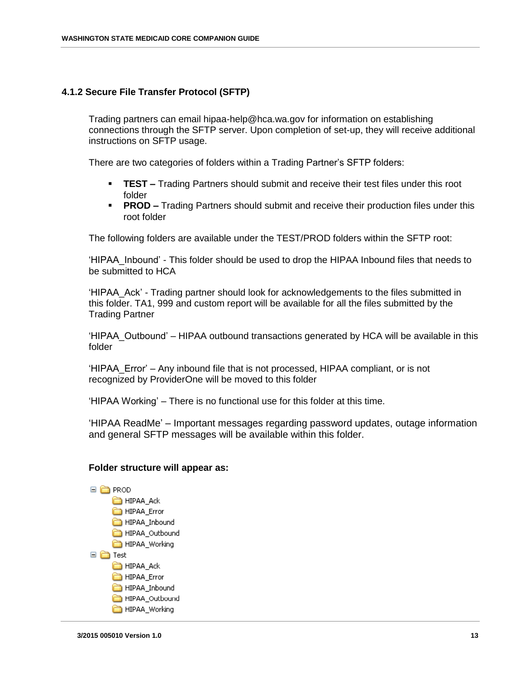### <span id="page-12-0"></span>**4.1.2 Secure File Transfer Protocol (SFTP)**

Trading partners can email hipaa-help@hca.wa.gov for information on establishing connections through the SFTP server. Upon completion of set-up, they will receive additional instructions on SFTP usage.

There are two categories of folders within a Trading Partner's SFTP folders:

- **TEST –** Trading Partners should submit and receive their test files under this root folder
- **PROD –** Trading Partners should submit and receive their production files under this root folder

The following folders are available under the TEST/PROD folders within the SFTP root:

'HIPAA\_Inbound' - This folder should be used to drop the HIPAA Inbound files that needs to be submitted to HCA

'HIPAA\_Ack' - Trading partner should look for acknowledgements to the files submitted in this folder. TA1, 999 and custom report will be available for all the files submitted by the Trading Partner

'HIPAA\_Outbound' – HIPAA outbound transactions generated by HCA will be available in this folder

'HIPAA\_Error' – Any inbound file that is not processed, HIPAA compliant, or is not recognized by ProviderOne will be moved to this folder

'HIPAA Working' – There is no functional use for this folder at this time.

'HIPAA ReadMe' – Important messages regarding password updates, outage information and general SFTP messages will be available within this folder.

#### **Folder structure will appear as:**

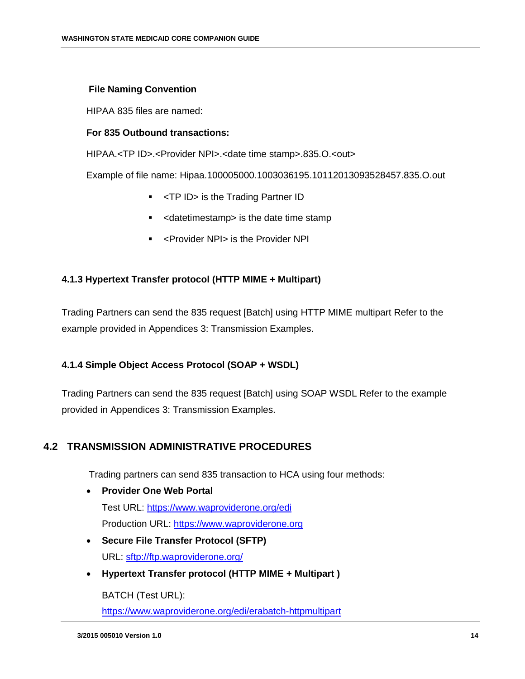### **File Naming Convention**

HIPAA 835 files are named:

### **For 835 Outbound transactions:**

HIPAA.<TP ID>.<Provider NPI>.<date time stamp>.835.O.<out>

Example of file name: Hipaa.100005000.1003036195.10112013093528457.835.O.out

- **F** <TP ID> is the Trading Partner ID
- **EXED** <datetimestamp> is the date time stamp
- <Provider NPI> is the Provider NPI

### <span id="page-13-0"></span>**4.1.3 Hypertext Transfer protocol (HTTP MIME + Multipart)**

Trading Partners can send the 835 request [Batch] using HTTP MIME multipart Refer to the example provided in Appendices 3: Transmission Examples.

### <span id="page-13-1"></span>**4.1.4 Simple Object Access Protocol (SOAP + WSDL)**

Trading Partners can send the 835 request [Batch] using SOAP WSDL Refer to the example provided in Appendices 3: Transmission Examples.

### <span id="page-13-2"></span>**4.2 TRANSMISSION ADMINISTRATIVE PROCEDURES**

Trading partners can send 835 transaction to HCA using four methods:

- **Provider One Web Portal**  Test URL:<https://www.waproviderone.org/edi> Production URL: [https://www.waproviderone.org](https://www.waproviderone.org/)
- **Secure File Transfer Protocol (SFTP)**  URL: sftp://ftp.waproviderone.org/
- **Hypertext Transfer protocol (HTTP MIME + Multipart )**

BATCH (Test URL):

<https://www.waproviderone.org/edi/erabatch-httpmultipart>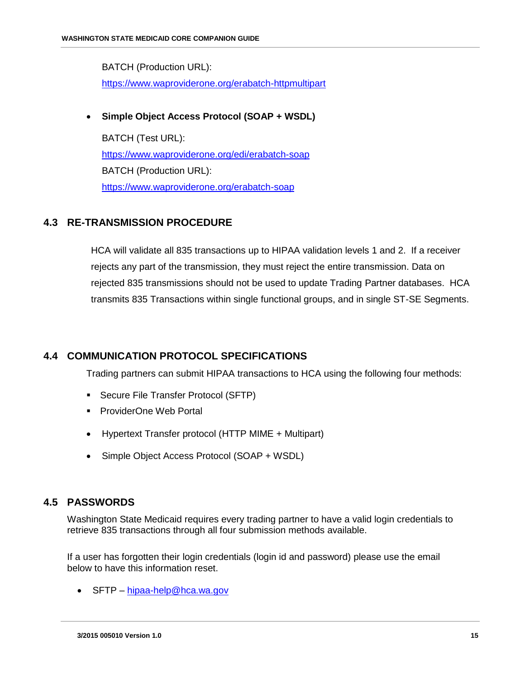BATCH (Production URL): <https://www.waproviderone.org/erabatch-httpmultipart>

### **Simple Object Access Protocol (SOAP + WSDL)**

BATCH (Test URL): <https://www.waproviderone.org/edi/erabatch-soap> BATCH (Production URL): <https://www.waproviderone.org/erabatch-soap>

# <span id="page-14-0"></span>**4.3 RE-TRANSMISSION PROCEDURE**

HCA will validate all 835 transactions up to HIPAA validation levels 1 and 2. If a receiver rejects any part of the transmission, they must reject the entire transmission. Data on rejected 835 transmissions should not be used to update Trading Partner databases. HCA transmits 835 Transactions within single functional groups, and in single ST-SE Segments.

# <span id="page-14-1"></span>**4.4 COMMUNICATION PROTOCOL SPECIFICATIONS**

Trading partners can submit HIPAA transactions to HCA using the following four methods:

- **Secure File Transfer Protocol (SFTP)**
- **ProviderOne Web Portal**
- Hypertext Transfer protocol (HTTP MIME + Multipart)
- Simple Object Access Protocol (SOAP + WSDL)

### <span id="page-14-2"></span>**4.5 PASSWORDS**

Washington State Medicaid requires every trading partner to have a valid login credentials to retrieve 835 transactions through all four submission methods available.

If a user has forgotten their login credentials (login id and password) please use the email below to have this information reset.

• SFTP – [hipaa-help@hca.wa.gov](mailto:hipaa-help@hca.wa.gov)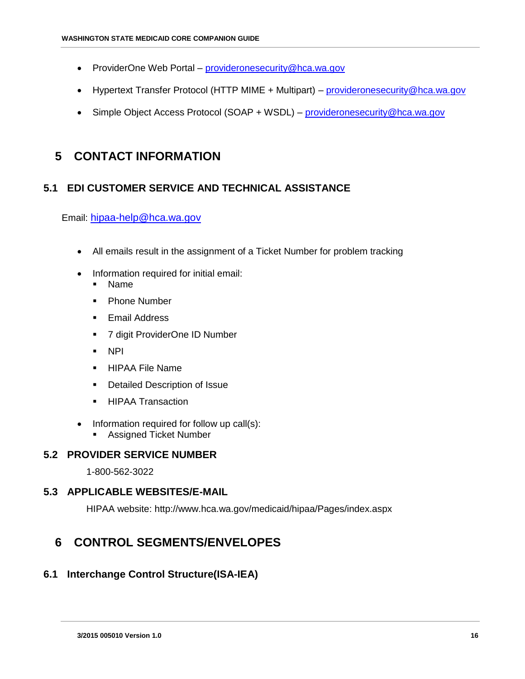- ProviderOne Web Portal [provideronesecurity@hca.wa.gov](mailto:provideronesecurity@hca.wa.gov)
- Hypertext Transfer Protocol (HTTP MIME + Multipart) [provideronesecurity@hca.wa.gov](mailto:provideronesecurity@hca.wa.gov)
- Simple Object Access Protocol (SOAP + WSDL) [provideronesecurity@hca.wa.gov](mailto:provideronesecurity@hca.wa.gov)

# <span id="page-15-0"></span>**5 CONTACT INFORMATION**

# <span id="page-15-1"></span>**5.1 EDI CUSTOMER SERVICE AND TECHNICAL ASSISTANCE**

Email: [hipaa-help@hca.wa.gov](mailto:hipaa-help@hca.wa.gov)

- All emails result in the assignment of a Ticket Number for problem tracking
- Information required for initial email:
	- Name
	- Phone Number
	- **Email Address**
	- 7 digit ProviderOne ID Number
	- NPI
	- **HIPAA File Name**
	- **•** Detailed Description of Issue
	- **HIPAA Transaction**
- Information required for follow up call(s):
	- **Assigned Ticket Number**

# <span id="page-15-2"></span>**5.2 PROVIDER SERVICE NUMBER**

1-800-562-3022

# <span id="page-15-3"></span>**5.3 APPLICABLE WEBSITES/E-MAIL**

HIPAA website: http://www.hca.wa.gov/medicaid/hipaa/Pages/index.aspx

# <span id="page-15-4"></span>**6 CONTROL SEGMENTS/ENVELOPES**

# <span id="page-15-5"></span>**6.1 Interchange Control Structure(ISA-IEA)**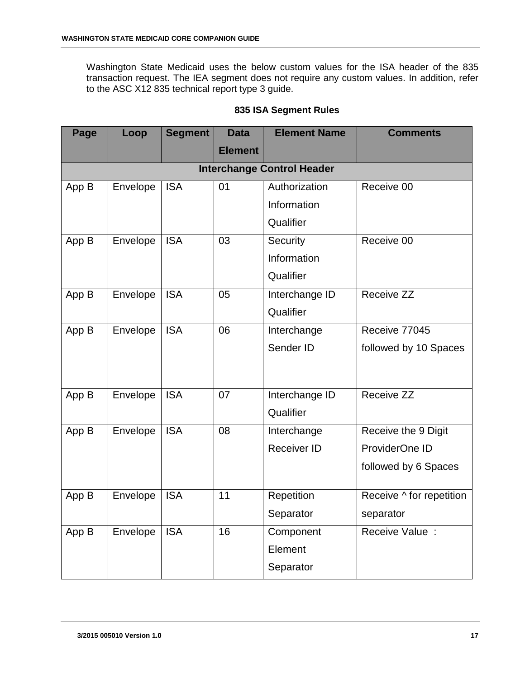Washington State Medicaid uses the below custom values for the ISA header of the 835 transaction request. The IEA segment does not require any custom values. In addition, refer to the ASC X12 835 technical report type 3 guide.

| Page  | Loop     | <b>Segment</b> | <b>Data</b>    | <b>Element Name</b>               | <b>Comments</b>          |
|-------|----------|----------------|----------------|-----------------------------------|--------------------------|
|       |          |                | <b>Element</b> |                                   |                          |
|       |          |                |                | <b>Interchange Control Header</b> |                          |
| App B | Envelope | <b>ISA</b>     | 01             | Authorization                     | Receive 00               |
|       |          |                |                | Information                       |                          |
|       |          |                |                | Qualifier                         |                          |
| App B | Envelope | <b>ISA</b>     | 03             | Security                          | Receive 00               |
|       |          |                |                | Information                       |                          |
|       |          |                |                | Qualifier                         |                          |
| App B | Envelope | <b>ISA</b>     | 05             | Interchange ID                    | Receive ZZ               |
|       |          |                |                | Qualifier                         |                          |
| App B | Envelope | <b>ISA</b>     | 06             | Interchange                       | Receive 77045            |
|       |          |                |                | Sender ID                         | followed by 10 Spaces    |
|       |          |                |                |                                   |                          |
|       |          |                |                |                                   |                          |
| App B | Envelope | <b>ISA</b>     | 07             | Interchange ID                    | Receive ZZ               |
|       |          |                |                | Qualifier                         |                          |
| App B | Envelope | <b>ISA</b>     | 08             | Interchange                       | Receive the 9 Digit      |
|       |          |                |                | <b>Receiver ID</b>                | ProviderOne ID           |
|       |          |                |                |                                   | followed by 6 Spaces     |
| App B | Envelope | <b>ISA</b>     | 11             | Repetition                        | Receive ^ for repetition |
|       |          |                |                |                                   |                          |
|       |          |                |                | Separator                         | separator                |
| App B | Envelope | <b>ISA</b>     | 16             | Component                         | Receive Value :          |
|       |          |                |                | Element                           |                          |
|       |          |                |                | Separator                         |                          |

### **835 ISA Segment Rules**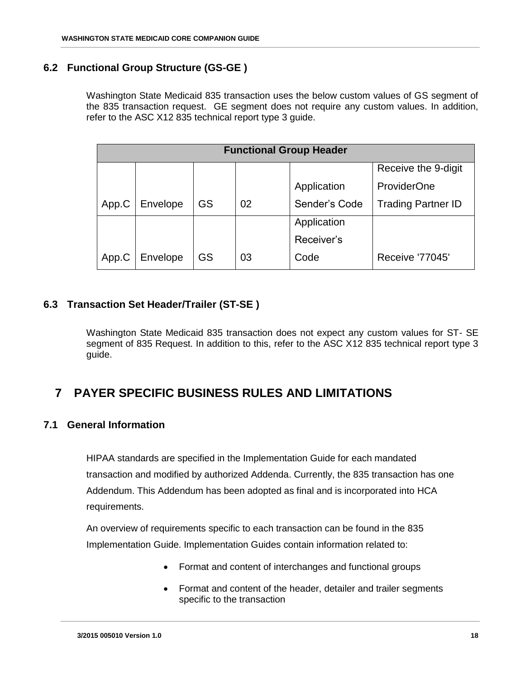## <span id="page-17-0"></span>**6.2 Functional Group Structure (GS-GE )**

Washington State Medicaid 835 transaction uses the below custom values of GS segment of the 835 transaction request. GE segment does not require any custom values. In addition, refer to the ASC X12 835 technical report type 3 guide.

|       | <b>Functional Group Header</b> |    |    |               |                           |  |  |  |  |
|-------|--------------------------------|----|----|---------------|---------------------------|--|--|--|--|
|       |                                |    |    |               | Receive the 9-digit       |  |  |  |  |
|       |                                |    |    | Application   | <b>ProviderOne</b>        |  |  |  |  |
| App.C | Envelope                       | GS | 02 | Sender's Code | <b>Trading Partner ID</b> |  |  |  |  |
|       |                                |    |    | Application   |                           |  |  |  |  |
|       |                                |    |    | Receiver's    |                           |  |  |  |  |
| App.C | Envelope                       | GS | 03 | Code          | <b>Receive '77045'</b>    |  |  |  |  |

## <span id="page-17-1"></span>**6.3 Transaction Set Header/Trailer (ST-SE )**

Washington State Medicaid 835 transaction does not expect any custom values for ST- SE segment of 835 Request. In addition to this, refer to the ASC X12 835 technical report type 3 guide.

# <span id="page-17-2"></span>**7 PAYER SPECIFIC BUSINESS RULES AND LIMITATIONS**

### <span id="page-17-3"></span>**7.1 General Information**

HIPAA standards are specified in the Implementation Guide for each mandated transaction and modified by authorized Addenda. Currently, the 835 transaction has one Addendum. This Addendum has been adopted as final and is incorporated into HCA requirements.

An overview of requirements specific to each transaction can be found in the 835 Implementation Guide. Implementation Guides contain information related to:

- Format and content of interchanges and functional groups
- Format and content of the header, detailer and trailer segments specific to the transaction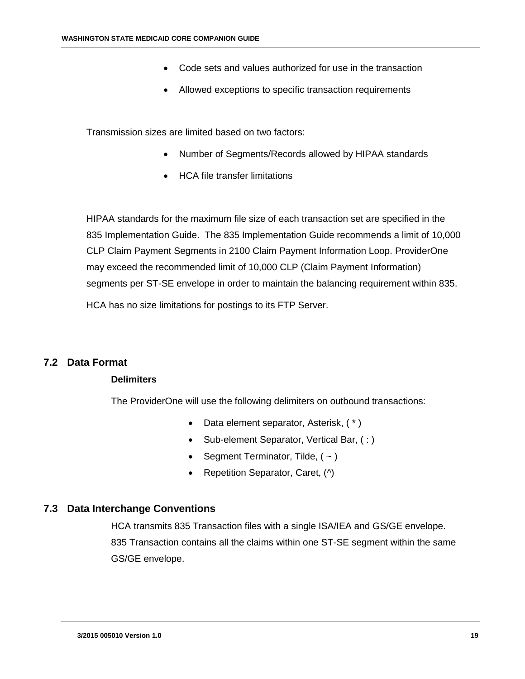- Code sets and values authorized for use in the transaction
- Allowed exceptions to specific transaction requirements

Transmission sizes are limited based on two factors:

- Number of Segments/Records allowed by HIPAA standards
- HCA file transfer limitations

HIPAA standards for the maximum file size of each transaction set are specified in the 835 Implementation Guide. The 835 Implementation Guide recommends a limit of 10,000 CLP Claim Payment Segments in 2100 Claim Payment Information Loop. ProviderOne may exceed the recommended limit of 10,000 CLP (Claim Payment Information) segments per ST-SE envelope in order to maintain the balancing requirement within 835. HCA has no size limitations for postings to its FTP Server.

### <span id="page-18-0"></span>**7.2 Data Format**

### **Delimiters**

The ProviderOne will use the following delimiters on outbound transactions:

- Data element separator, Asterisk,  $(*)$
- Sub-element Separator, Vertical Bar, (:)
- Segment Terminator, Tilde,  $(-)$
- Repetition Separator, Caret, (^)

### <span id="page-18-1"></span>**7.3 Data Interchange Conventions**

HCA transmits 835 Transaction files with a single ISA/IEA and GS/GE envelope. 835 Transaction contains all the claims within one ST-SE segment within the same GS/GE envelope.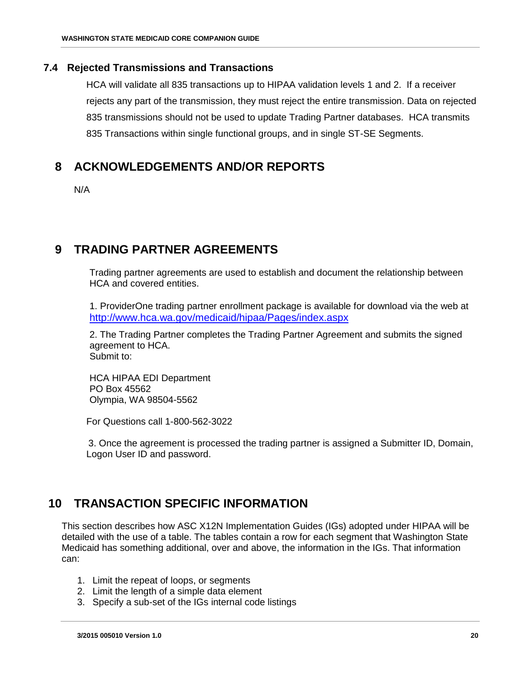### <span id="page-19-0"></span>**7.4 Rejected Transmissions and Transactions**

HCA will validate all 835 transactions up to HIPAA validation levels 1 and 2. If a receiver rejects any part of the transmission, they must reject the entire transmission. Data on rejected 835 transmissions should not be used to update Trading Partner databases. HCA transmits 835 Transactions within single functional groups, and in single ST-SE Segments.

# <span id="page-19-1"></span>**8 ACKNOWLEDGEMENTS AND/OR REPORTS**

N/A

# <span id="page-19-2"></span>**9 TRADING PARTNER AGREEMENTS**

Trading partner agreements are used to establish and document the relationship between HCA and covered entities.

1. ProviderOne trading partner enrollment package is available for download via the web at http://www.hca.wa.gov/medicaid/hipaa/Pages/index.aspx

2. The Trading Partner completes the Trading Partner Agreement and submits the signed agreement to HCA. Submit to:

HCA HIPAA EDI Department PO Box 45562 Olympia, WA 98504-5562

For Questions call 1-800-562-3022

3. Once the agreement is processed the trading partner is assigned a Submitter ID, Domain, Logon User ID and password.

# <span id="page-19-3"></span>**10 TRANSACTION SPECIFIC INFORMATION**

This section describes how ASC X12N Implementation Guides (IGs) adopted under HIPAA will be detailed with the use of a table. The tables contain a row for each segment that Washington State Medicaid has something additional, over and above, the information in the IGs. That information can:

- 1. Limit the repeat of loops, or segments
- 2. Limit the length of a simple data element
- 3. Specify a sub-set of the IGs internal code listings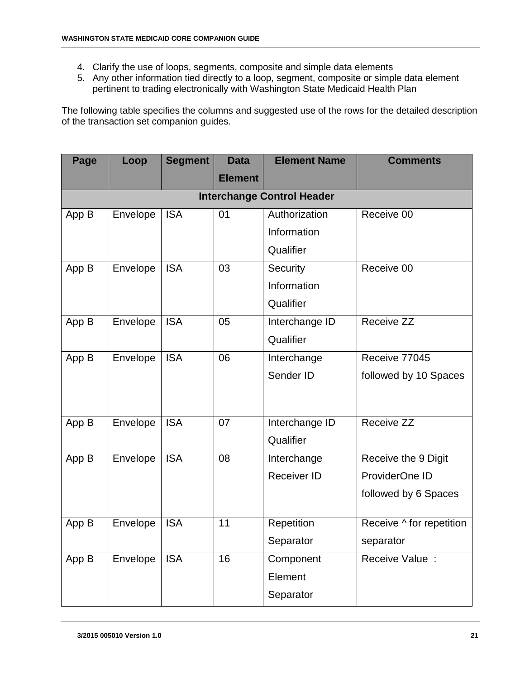- 4. Clarify the use of loops, segments, composite and simple data elements
- 5. Any other information tied directly to a loop, segment, composite or simple data element pertinent to trading electronically with Washington State Medicaid Health Plan

The following table specifies the columns and suggested use of the rows for the detailed description of the transaction set companion guides.

| Page  | Loop     | <b>Segment</b> | <b>Data</b>    | <b>Element Name</b>               | <b>Comments</b>          |
|-------|----------|----------------|----------------|-----------------------------------|--------------------------|
|       |          |                | <b>Element</b> |                                   |                          |
|       |          |                |                | <b>Interchange Control Header</b> |                          |
| App B | Envelope | <b>ISA</b>     | 01             | Authorization                     | Receive 00               |
|       |          |                |                | Information                       |                          |
|       |          |                |                | Qualifier                         |                          |
| App B | Envelope | <b>ISA</b>     | 03             | Security                          | Receive 00               |
|       |          |                |                | Information                       |                          |
|       |          |                |                | Qualifier                         |                          |
| App B | Envelope | <b>ISA</b>     | 05             | Interchange ID                    | Receive ZZ               |
|       |          |                |                | Qualifier                         |                          |
| App B | Envelope | <b>ISA</b>     | 06             | Interchange                       | Receive 77045            |
|       |          |                |                | Sender ID                         | followed by 10 Spaces    |
|       |          |                |                |                                   |                          |
|       |          |                |                |                                   |                          |
| App B | Envelope | <b>ISA</b>     | 07             | Interchange ID                    | Receive ZZ               |
|       |          |                |                | Qualifier                         |                          |
| App B | Envelope | <b>ISA</b>     | 08             | Interchange                       | Receive the 9 Digit      |
|       |          |                |                | <b>Receiver ID</b>                | ProviderOne ID           |
|       |          |                |                |                                   | followed by 6 Spaces     |
| App B | Envelope | <b>ISA</b>     | 11             | Repetition                        | Receive ^ for repetition |
|       |          |                |                | Separator                         | separator                |
| App B | Envelope | <b>ISA</b>     | 16             | Component                         | Receive Value :          |
|       |          |                |                | Element                           |                          |
|       |          |                |                | Separator                         |                          |
|       |          |                |                |                                   |                          |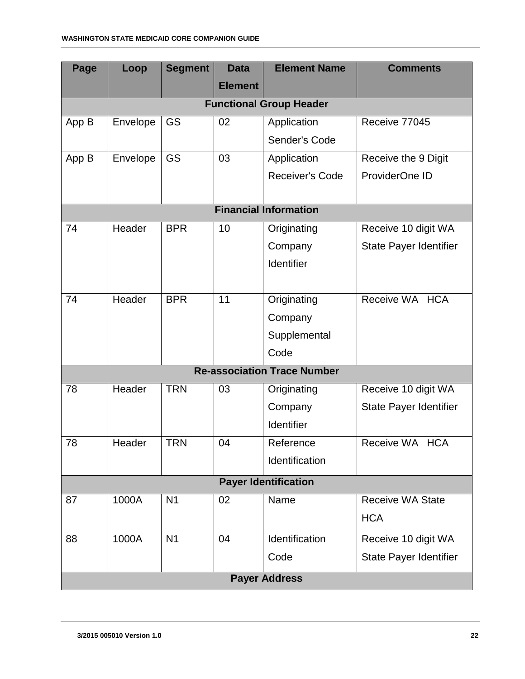| Page                         | Loop     | <b>Segment</b> | <b>Data</b>    | <b>Element Name</b>                | <b>Comments</b>               |  |  |  |  |  |
|------------------------------|----------|----------------|----------------|------------------------------------|-------------------------------|--|--|--|--|--|
|                              |          |                | <b>Element</b> |                                    |                               |  |  |  |  |  |
|                              |          |                |                | <b>Functional Group Header</b>     |                               |  |  |  |  |  |
| App B                        | Envelope | GS             | 02             | Application                        | Receive 77045                 |  |  |  |  |  |
|                              |          |                |                | Sender's Code                      |                               |  |  |  |  |  |
| App B                        | Envelope | GS             | 03             | Application                        | Receive the 9 Digit           |  |  |  |  |  |
|                              |          |                |                | Receiver's Code                    | ProviderOne ID                |  |  |  |  |  |
|                              |          |                |                |                                    |                               |  |  |  |  |  |
| <b>Financial Information</b> |          |                |                |                                    |                               |  |  |  |  |  |
| 74                           | Header   | <b>BPR</b>     | 10             | Originating                        | Receive 10 digit WA           |  |  |  |  |  |
|                              |          |                |                | Company                            | <b>State Payer Identifier</b> |  |  |  |  |  |
|                              |          |                |                | Identifier                         |                               |  |  |  |  |  |
|                              |          |                |                |                                    |                               |  |  |  |  |  |
| 74                           | Header   | <b>BPR</b>     | 11             | Originating                        | Receive WA HCA                |  |  |  |  |  |
|                              |          |                |                | Company                            |                               |  |  |  |  |  |
|                              |          |                |                | Supplemental                       |                               |  |  |  |  |  |
|                              |          |                |                | Code                               |                               |  |  |  |  |  |
|                              |          |                |                | <b>Re-association Trace Number</b> |                               |  |  |  |  |  |
| 78                           | Header   | <b>TRN</b>     | 03             | Originating                        | Receive 10 digit WA           |  |  |  |  |  |
|                              |          |                |                | Company                            | State Payer Identifier        |  |  |  |  |  |
|                              |          |                |                | Identifier                         |                               |  |  |  |  |  |
| 78                           | Header   | <b>TRN</b>     | 04             | Reference                          | Receive WA HCA                |  |  |  |  |  |
|                              |          |                |                | Identification                     |                               |  |  |  |  |  |
|                              |          |                |                | <b>Payer Identification</b>        |                               |  |  |  |  |  |
| 87                           | 1000A    | N <sub>1</sub> | 02             | Name                               | <b>Receive WA State</b>       |  |  |  |  |  |
|                              |          |                |                |                                    | <b>HCA</b>                    |  |  |  |  |  |
| 88                           | 1000A    | N <sub>1</sub> | 04             | Identification                     | Receive 10 digit WA           |  |  |  |  |  |
|                              |          |                |                | Code                               | State Payer Identifier        |  |  |  |  |  |
|                              |          |                |                | <b>Payer Address</b>               |                               |  |  |  |  |  |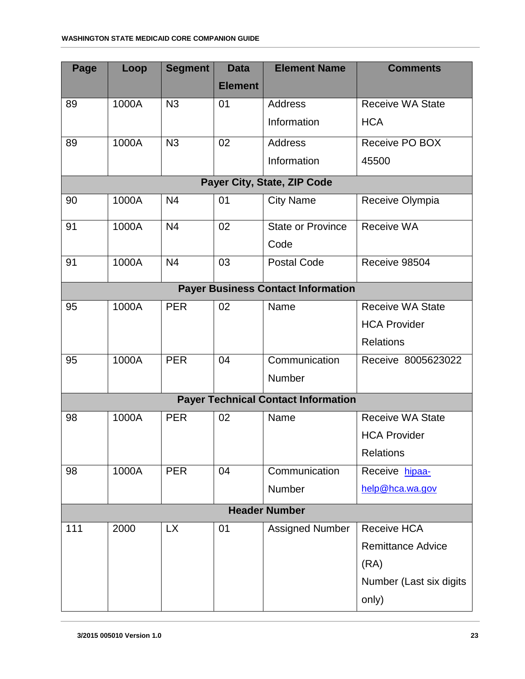| Page | Loop  | <b>Segment</b> | <b>Data</b>    | <b>Element Name</b>                        | <b>Comments</b>          |
|------|-------|----------------|----------------|--------------------------------------------|--------------------------|
|      |       |                | <b>Element</b> |                                            |                          |
| 89   | 1000A | N <sub>3</sub> | 01             | <b>Address</b>                             | <b>Receive WA State</b>  |
|      |       |                |                | Information                                | <b>HCA</b>               |
| 89   | 1000A | N <sub>3</sub> | 02             | <b>Address</b>                             | Receive PO BOX           |
|      |       |                |                | Information                                | 45500                    |
|      |       |                |                | Payer City, State, ZIP Code                |                          |
| 90   | 1000A | N <sub>4</sub> | 01             | <b>City Name</b>                           | Receive Olympia          |
| 91   | 1000A | N <sub>4</sub> | 02             | <b>State or Province</b>                   | Receive WA               |
|      |       |                |                | Code                                       |                          |
| 91   | 1000A | N <sub>4</sub> | 03             | <b>Postal Code</b>                         | Receive 98504            |
|      |       |                |                | <b>Payer Business Contact Information</b>  |                          |
| 95   | 1000A | <b>PER</b>     | 02             | Name                                       | <b>Receive WA State</b>  |
|      |       |                |                |                                            | <b>HCA Provider</b>      |
|      |       |                |                |                                            | <b>Relations</b>         |
| 95   | 1000A | <b>PER</b>     | 04             | Communication                              | Receive 8005623022       |
|      |       |                |                | Number                                     |                          |
|      |       |                |                | <b>Payer Technical Contact Information</b> |                          |
| 98   | 1000A | <b>PER</b>     | 02             | Name                                       | <b>Receive WA State</b>  |
|      |       |                |                |                                            | <b>HCA Provider</b>      |
|      |       |                |                |                                            | <b>Relations</b>         |
| 98   | 1000A | <b>PER</b>     | 04             | Communication                              | Receive hipaa-           |
|      |       |                |                | Number                                     | help@hca.wa.gov          |
|      |       |                |                | <b>Header Number</b>                       |                          |
| 111  | 2000  | <b>LX</b>      | 01             | <b>Assigned Number</b>                     | <b>Receive HCA</b>       |
|      |       |                |                |                                            | <b>Remittance Advice</b> |
|      |       |                |                |                                            | (RA)                     |
|      |       |                |                |                                            | Number (Last six digits  |
|      |       |                |                |                                            | only)                    |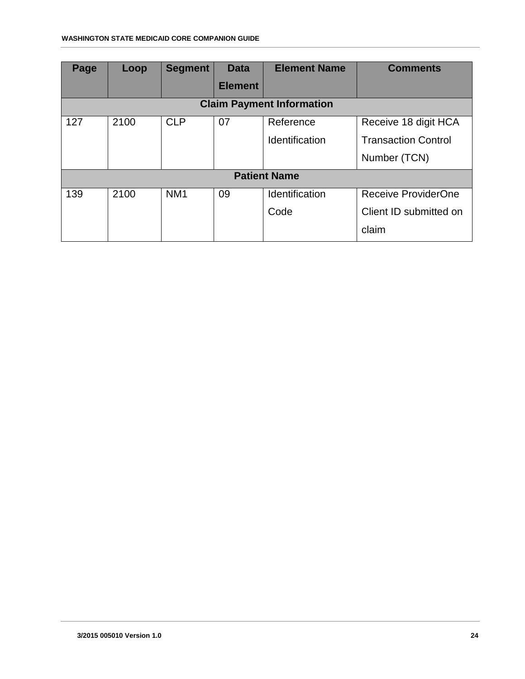<span id="page-23-0"></span>

| Page | Loop | <b>Segment</b>  | <b>Data</b>    | <b>Element Name</b>              | <b>Comments</b>            |
|------|------|-----------------|----------------|----------------------------------|----------------------------|
|      |      |                 | <b>Element</b> |                                  |                            |
|      |      |                 |                | <b>Claim Payment Information</b> |                            |
| 127  | 2100 | <b>CLP</b>      | 07             | Reference                        | Receive 18 digit HCA       |
|      |      |                 |                | Identification                   | <b>Transaction Control</b> |
|      |      |                 |                |                                  | Number (TCN)               |
|      |      |                 |                | <b>Patient Name</b>              |                            |
| 139  | 2100 | NM <sub>1</sub> | 09             | Identification                   | <b>Receive ProviderOne</b> |
|      |      |                 |                | Code                             | Client ID submitted on     |
|      |      |                 |                |                                  | claim                      |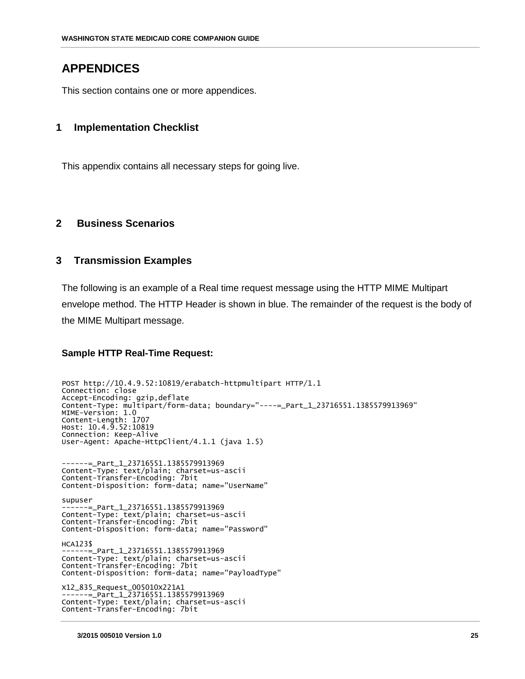# **APPENDICES**

This section contains one or more appendices.

### <span id="page-24-0"></span>**1 Implementation Checklist**

This appendix contains all necessary steps for going live.

### <span id="page-24-1"></span>**2 Business Scenarios**

### <span id="page-24-2"></span>**3 Transmission Examples**

The following is an example of a Real time request message using the HTTP MIME Multipart envelope method. The HTTP Header is shown in blue. The remainder of the request is the body of the MIME Multipart message.

### **Sample HTTP Real-Time Request:**

```
POST http://10.4.9.52:10819/erabatch-httpmultipart HTTP/1.1
Connection: close
Accept-Encoding: gzip,deflate
Content-Type: multipart/form-data; boundary="----=_Part_1_23716551.1385579913969"
MIME-Version: 1.0
Content-Length: 1707
Host: 10.4.9.52:10819
Connection: Keep-Alive
User-Agent: Apache-HttpClient/4.1.1 (java 1.5)
------=_Part_1_23716551.1385579913969
Content-Type: text/plain; charset=us-ascii
Content-Transfer-Encoding: 7bit
Content-Disposition: form-data; name="UserName"
supuser
------=_Part_1_23716551.1385579913969
Content-Type: text/plain; charset=us-ascii
Content-Transfer-Encoding: 7bit
Content-Disposition: form-data; name="Password"
HCA123$
   ---=_Part_1_23716551.1385579913969
Content-Type: text/plain; charset=us-ascii
Content-Transfer-Encoding: 7bit
Content-Disposition: form-data; name="PayloadType"
X12_835_Request_005010X221A1
 ------=_Part_1_23716551.1385579913969
Content-Type: text/plain; charset=us-ascii
Content-Transfer-Encoding: 7bit
```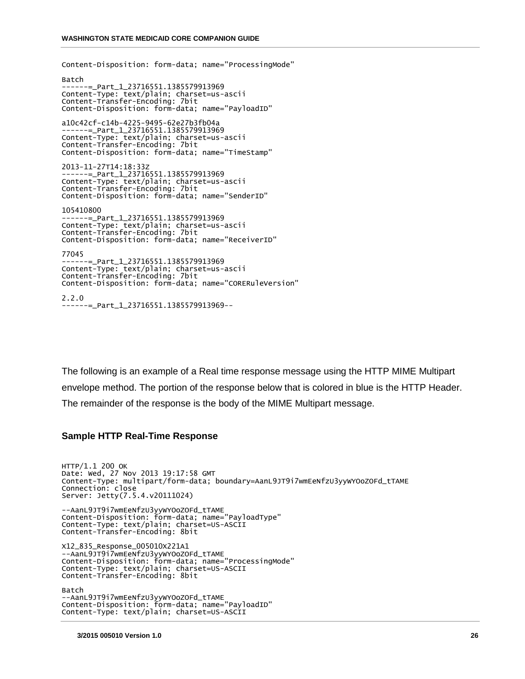Content-Disposition: form-data; name="ProcessingMode" Batch ------=\_Part\_1\_23716551.1385579913969 Content-Type: text/plain; charset=us-ascii Content-Transfer-Encoding: 7bit Content-Disposition: form-data; name="PayloadID" a10c42cf-c14b-4225-9495-62e27b3fb04a ------=\_Part\_1\_23716551.1385579913969 Content-Type: text/plain; charset=us-ascii Content-Transfer-Encoding: 7bit Content-Disposition: form-data; name="TimeStamp" 2013-11-27T14:18:33Z ------=\_Part\_1\_23716551.1385579913969 Content-Type: text/plain; charset=us-ascii Content-Transfer-Encoding: 7bit Content-Disposition: form-data; name="SenderID" 105410800 ------=\_Part\_1\_23716551.1385579913969 Content-Type: text/plain; charset=us-ascii Content-Transfer-Encoding: 7bit Content-Disposition: form-data; name="ReceiverID" 77045 ------=\_Part\_1\_23716551.1385579913969 Content-Type: text/plain; charset=us-ascii Content-Transfer-Encoding: 7bit Content-Disposition: form-data; name="CORERuleVersion" 2.2.0 ------=\_Part\_1\_23716551.1385579913969--

The following is an example of a Real time response message using the HTTP MIME Multipart envelope method. The portion of the response below that is colored in blue is the HTTP Header. The remainder of the response is the body of the MIME Multipart message.

#### **Sample HTTP Real-Time Response**

HTTP/1.1 200 OK Date: Wed, 27 Nov 2013 19:17:58 GMT Content-Type: multipart/form-data; boundary=AanL9JT9i7wmEeNfzU3yyWYOoZOFd\_tTAME Connection: close Server: Jetty(7.5.4.v20111024) --AanL9JT9i7wmEeNfzU3yyWYOoZOFd\_tTAME Content-Disposition: form-data; name="PayloadType" Content-Type: text/plain; charset=US-ASCII Content-Transfer-Encoding: 8bit X12\_835\_Response\_005010X221A1 --AanL9JT9i7wmEeNfzU3yyWYOoZOFd\_tTAME Content-Disposition: form-data; name="ProcessingMode" Content-Type: text/plain; charset=US-ASCII Content-Transfer-Encoding: 8bit Batch --AanL9JT9i7wmEeNfzU3yyWYOoZOFd\_tTAME Content-Disposition: form-data; name="PayloadID" Content-Type: text/plain; charset=US-ASCII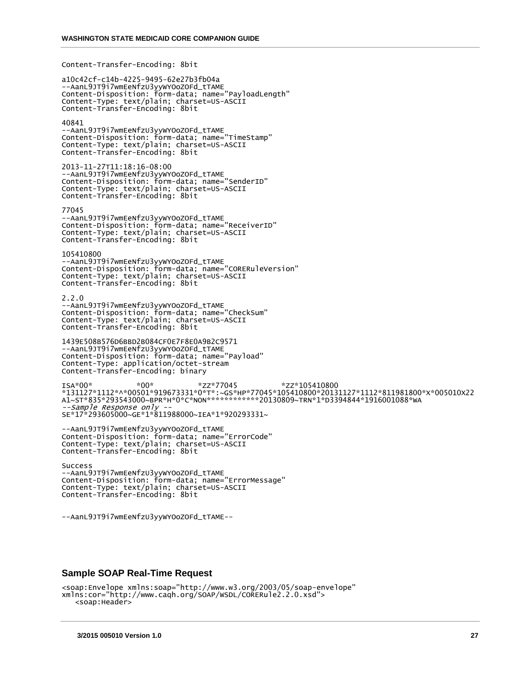Content-Transfer-Encoding: 8bit

a10c42cf-c14b-4225-9495-62e27b3fb04a --AanL9JT9i7wmEeNfzU3yyWYOoZOFd\_tTAME Content-Disposition: form-data; name="PayloadLength" Content-Type: text/plain; charset=US-ASCII Content-Transfer-Encoding: 8bit 40841 --AanL9JT9i7wmEeNfzU3yyWYOoZOFd\_tTAME Content-Disposition: form-data; name="TimeStamp" Content-Type: text/plain; charset=US-ASCII Content-Transfer-Encoding: 8bit 2013-11-27T11:18:16-08:00 --AanL9JT9i7wmEeNfzU3yyWYOoZOFd\_tTAME Content-Disposition: form-data; name="SenderID" Content-Type: text/plain; charset=US-ASCII Content-Transfer-Encoding: 8bit 77045 --AanL9JT9i7wmEeNfzU3yyWYOoZOFd\_tTAME

Content-Disposition: form-data; name="ReceiverID" Content-Type: text/plain; charset=US-ASCII Content-Transfer-Encoding: 8bit

105410800 --AanL9JT9i7wmEeNfzU3yyWYOoZOFd\_tTAME Content-Disposition: form-data; name="CORERuleVersion" Content-Type: text/plain; charset=US-ASCII Content-Transfer-Encoding: 8bit

2.2.0 --AanL9JT9i7wmEeNfzU3yyWYOoZOFd\_tTAME Content-Disposition: form-data; name="CheckSum" Content-Type: text/plain; charset=US-ASCII Content-Transfer-Encoding: 8bit

1439E508B576D6BBD2B084CF0E7F8E0A9B2C9571 --AanL9JT9i7wmEeNfzU3yyWYOoZOFd\_tTAME Content-Disposition: form-data; name="Payload" Content-Type: application/octet-stream Content-Transfer-Encoding: binary

ISA\*00\* \*00\* \*ZZ\*77045 \*ZZ\*105410800 \*131127\*1112\*^\*00501\*919673331\*0\*T\*:~GS\*HP\*77045\*105410800\*20131127\*1112\*811981800\*X\*005010X22 A1~ST\*835\*293543000~BPR\*H\*0\*C\*NON\*\*\*\*\*\*\*\*\*\*\*\*20130809~TRN\*1\*D3394844\*1916001088\*WA --Sample Response only -- SE\*17\*293605000~GE\*1\*811988000~IEA\*1\*920293331~

```
--AanL9JT9i7wmEeNfzU3yyWYOoZOFd_tTAME
Content-Disposition: form-data; name="ErrorCode"
Content-Type: text/plain; charset=US-ASCII
Content-Transfer-Encoding: 8bit
```
Success --AanL9JT9i7wmEeNfzU3yyWYOoZOFd\_tTAME Content-Disposition: form-data; name="ErrorMessage" Content-Type: text/plain; charset=US-ASCII Content-Transfer-Encoding: 8bit

```
--AanL9JT9i7wmEeNfzU3yyWYOoZOFd_tTAME--
```
#### **Sample SOAP Real-Time Request**

```
<soap:Envelope xmlns:soap="http://www.w3.org/2003/05/soap-envelope" 
xmlns:cor="http://www.caqh.org/SOAP/WSDL/CORERule2.2.0.xsd">
    <soap:Header>
```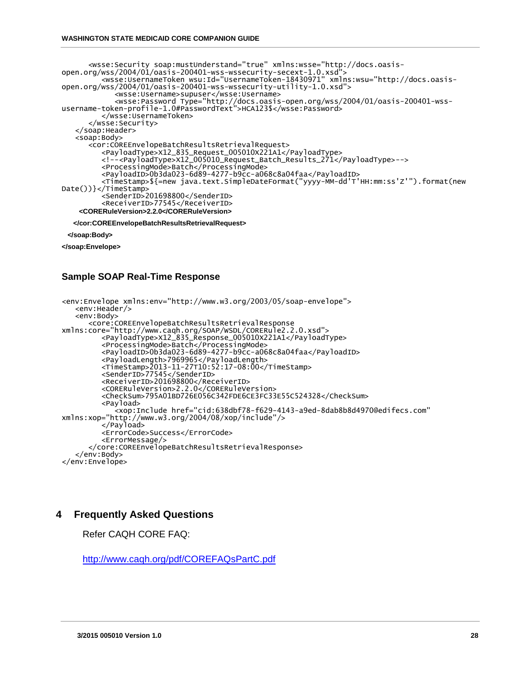```
 <wsse:Security soap:mustUnderstand="true" xmlns:wsse="http://docs.oasis-
open.org/wss/2004/01/oasis-200401-wss-wssecurity-secext-1.0.xsd">
 <wsse:UsernameToken wsu:Id="UsernameToken-18430971" xmlns:wsu="http://docs.oasis-
open.org/wss/2004/01/oasis-200401-wss-wssecurity-utility-1.0.xsd">
 <wsse:Username>supuser</wsse:Username>
 <wsse:Password Type="http://docs.oasis-open.org/wss/2004/01/oasis-200401-wss-
username-token-profile-1.0#PasswordText">HCA123$</wsse:Password>
          </wsse:UsernameToken>
       </wsse:Security>
    </soap:Header>
    <soap:Body>
       <cor:COREEnvelopeBatchResultsRetrievalRequest>
 <PayloadType>X12_835_Request_005010X221A1</PayloadType>
 <!--<PayloadType>X12_005010_Request_Batch_Results_271</PayloadType>-->
 <ProcessingMode>Batch</ProcessingMode>
 <PayloadID>0b3da023-6d89-4277-b9cc-a068c8a04faa</PayloadID>
          <TimeStamp>${=new java.text.SimpleDateFormat("yyyy-MM-dd'T'HH:mm:ss'Z'").format(new 
Date())}</TimeStamp>
          <SenderID>201698800</SenderID>
          <ReceiverID>77545</ReceiverID>
    <CORERuleVersion>2.2.0</CORERuleVersion>
   </cor:COREEnvelopeBatchResultsRetrievalRequest>
```
 **</soap:Body>**

**</soap:Envelope>**

### **Sample SOAP Real-Time Response**

```
<env:Envelope xmlns:env="http://www.w3.org/2003/05/soap-envelope">
    <env:Header/>
    <env:Body>
       <core:COREEnvelopeBatchResultsRetrievalResponse 
xmlns:core="http://www.caqh.org/SOAP/WSDL/CORERule2.2.0.xsd">
 <PayloadType>X12_835_Response_005010X221A1</PayloadType>
 <ProcessingMode>Batch</ProcessingMode>
 <PayloadID>0b3da023-6d89-4277-b9cc-a068c8a04faa</PayloadID>
         <PayloadLength>7969965</PayloadLength>
 <TimeStamp>2013-11-27T10:52:17-08:00</TimeStamp>
 <SenderID>77545</SenderID>
 <ReceiverID>201698800</ReceiverID>
 <CORERuleVersion>2.2.0</CORERuleVersion>
 <CheckSum>795A01BD726E056C342FDE6CE3FC33E55C524328</CheckSum>
         <Payload>
            <xop:Include href="cid:638dbf78-f629-4143-a9ed-8dab8b8d4970@edifecs.com" 
xmlns:xop="http://www.w3.org/2004/08/xop/include"/>
         </Payload>
         <ErrorCode>Success</ErrorCode>
         <ErrorMessage/>
       </core:COREEnvelopeBatchResultsRetrievalResponse>
    </env:Body>
</env:Envelope>
```
### <span id="page-27-0"></span>**4 Frequently Asked Questions**

Refer CAQH CORE FAQ:

<http://www.caqh.org/pdf/COREFAQsPartC.pdf>